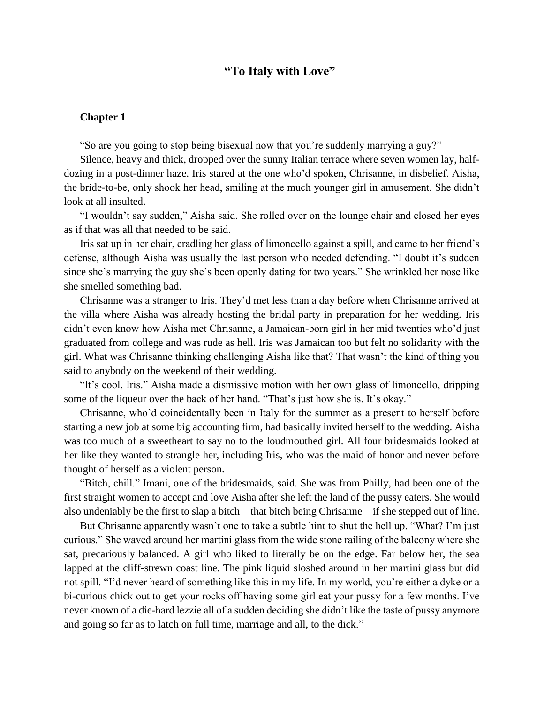## **"To Italy with Love"**

## **Chapter 1**

"So are you going to stop being bisexual now that you're suddenly marrying a guy?"

Silence, heavy and thick, dropped over the sunny Italian terrace where seven women lay, halfdozing in a post-dinner haze. Iris stared at the one who'd spoken, Chrisanne, in disbelief. Aisha, the bride-to-be, only shook her head, smiling at the much younger girl in amusement. She didn't look at all insulted.

"I wouldn't say sudden," Aisha said. She rolled over on the lounge chair and closed her eyes as if that was all that needed to be said.

Iris sat up in her chair, cradling her glass of limoncello against a spill, and came to her friend's defense, although Aisha was usually the last person who needed defending. "I doubt it's sudden since she's marrying the guy she's been openly dating for two years." She wrinkled her nose like she smelled something bad.

Chrisanne was a stranger to Iris. They'd met less than a day before when Chrisanne arrived at the villa where Aisha was already hosting the bridal party in preparation for her wedding. Iris didn't even know how Aisha met Chrisanne, a Jamaican-born girl in her mid twenties who'd just graduated from college and was rude as hell. Iris was Jamaican too but felt no solidarity with the girl. What was Chrisanne thinking challenging Aisha like that? That wasn't the kind of thing you said to anybody on the weekend of their wedding.

"It's cool, Iris." Aisha made a dismissive motion with her own glass of limoncello, dripping some of the liqueur over the back of her hand. "That's just how she is. It's okay."

Chrisanne, who'd coincidentally been in Italy for the summer as a present to herself before starting a new job at some big accounting firm, had basically invited herself to the wedding. Aisha was too much of a sweetheart to say no to the loudmouthed girl. All four bridesmaids looked at her like they wanted to strangle her, including Iris, who was the maid of honor and never before thought of herself as a violent person.

"Bitch, chill." Imani, one of the bridesmaids, said. She was from Philly, had been one of the first straight women to accept and love Aisha after she left the land of the pussy eaters. She would also undeniably be the first to slap a bitch—that bitch being Chrisanne—if she stepped out of line.

But Chrisanne apparently wasn't one to take a subtle hint to shut the hell up. "What? I'm just curious." She waved around her martini glass from the wide stone railing of the balcony where she sat, precariously balanced. A girl who liked to literally be on the edge. Far below her, the sea lapped at the cliff-strewn coast line. The pink liquid sloshed around in her martini glass but did not spill. "I'd never heard of something like this in my life. In my world, you're either a dyke or a bi-curious chick out to get your rocks off having some girl eat your pussy for a few months. I've never known of a die-hard lezzie all of a sudden deciding she didn't like the taste of pussy anymore and going so far as to latch on full time, marriage and all, to the dick."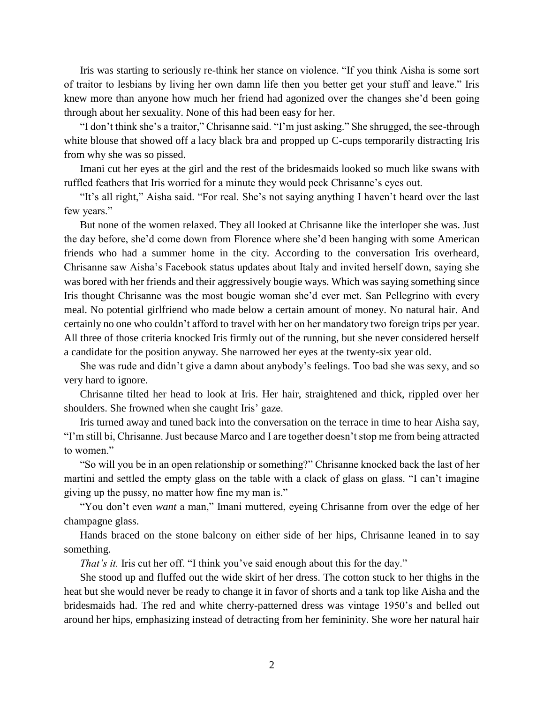Iris was starting to seriously re-think her stance on violence. "If you think Aisha is some sort of traitor to lesbians by living her own damn life then you better get your stuff and leave." Iris knew more than anyone how much her friend had agonized over the changes she'd been going through about her sexuality. None of this had been easy for her.

"I don't think she's a traitor," Chrisanne said. "I'm just asking." She shrugged, the see-through white blouse that showed off a lacy black bra and propped up C-cups temporarily distracting Iris from why she was so pissed.

Imani cut her eyes at the girl and the rest of the bridesmaids looked so much like swans with ruffled feathers that Iris worried for a minute they would peck Chrisanne's eyes out.

"It's all right," Aisha said. "For real. She's not saying anything I haven't heard over the last few years."

But none of the women relaxed. They all looked at Chrisanne like the interloper she was. Just the day before, she'd come down from Florence where she'd been hanging with some American friends who had a summer home in the city. According to the conversation Iris overheard, Chrisanne saw Aisha's Facebook status updates about Italy and invited herself down, saying she was bored with her friends and their aggressively bougie ways. Which was saying something since Iris thought Chrisanne was the most bougie woman she'd ever met. San Pellegrino with every meal. No potential girlfriend who made below a certain amount of money. No natural hair. And certainly no one who couldn't afford to travel with her on her mandatory two foreign trips per year. All three of those criteria knocked Iris firmly out of the running, but she never considered herself a candidate for the position anyway. She narrowed her eyes at the twenty-six year old.

She was rude and didn't give a damn about anybody's feelings. Too bad she was sexy, and so very hard to ignore.

Chrisanne tilted her head to look at Iris. Her hair, straightened and thick, rippled over her shoulders. She frowned when she caught Iris' gaze.

Iris turned away and tuned back into the conversation on the terrace in time to hear Aisha say, "I'm still bi, Chrisanne. Just because Marco and I are together doesn't stop me from being attracted to women."

"So will you be in an open relationship or something?" Chrisanne knocked back the last of her martini and settled the empty glass on the table with a clack of glass on glass. "I can't imagine giving up the pussy, no matter how fine my man is."

"You don't even *want* a man," Imani muttered, eyeing Chrisanne from over the edge of her champagne glass.

Hands braced on the stone balcony on either side of her hips, Chrisanne leaned in to say something.

*That's it.* Iris cut her off. "I think you've said enough about this for the day."

She stood up and fluffed out the wide skirt of her dress. The cotton stuck to her thighs in the heat but she would never be ready to change it in favor of shorts and a tank top like Aisha and the bridesmaids had. The red and white cherry-patterned dress was vintage 1950's and belled out around her hips, emphasizing instead of detracting from her femininity. She wore her natural hair